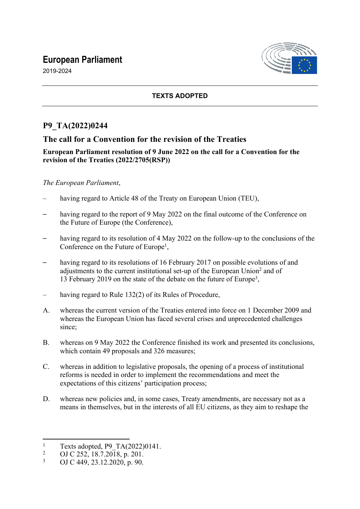# **European Parliament**

2019-2024



## **TEXTS ADOPTED**

## **P9\_TA(2022)0244**

## **The call for a Convention for the revision of the Treaties**

#### **European Parliament resolution of 9 June 2022 on the call for a Convention for the revision of the Treaties (2022/2705(RSP))**

#### *The European Parliament*,

- having regard to Article 48 of the Treaty on European Union (TEU),
- having regard to the report of 9 May 2022 on the final outcome of the Conference on the Future of Europe (the Conference),
- having regard to its resolution of 4 May 2022 on the follow-up to the conclusions of the Conference on the Future of Europe<sup>1</sup>,
- having regard to its resolutions of 16 February 2017 on possible evolutions of and adjustments to the current institutional set-up of the European Union<sup>2</sup> and of 13 February 2019 on the state of the debate on the future of Europe<sup>3</sup> ,
- having regard to Rule 132(2) of its Rules of Procedure,
- A. whereas the current version of the Treaties entered into force on 1 December 2009 and whereas the European Union has faced several crises and unprecedented challenges since;
- B. whereas on 9 May 2022 the Conference finished its work and presented its conclusions, which contain 49 proposals and 326 measures;
- C. whereas in addition to legislative proposals, the opening of a process of institutional reforms is needed in order to implement the recommendations and meet the expectations of this citizens' participation process;
- D. whereas new policies and, in some cases, Treaty amendments, are necessary not as a means in themselves, but in the interests of all EU citizens, as they aim to reshape the

<sup>1</sup> Texts adopted, P9\_TA(2022)0141.

<sup>2</sup> OJ C 252, 18.7.2018, p. 201.

<sup>3</sup> OJ C 449, 23.12.2020, p. 90.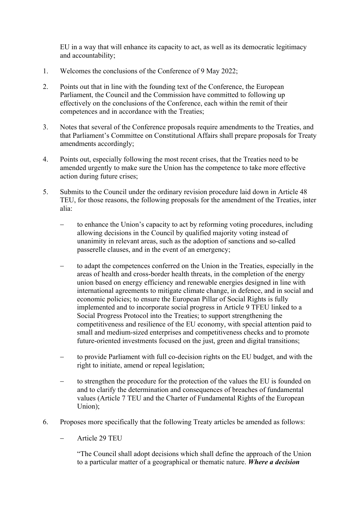EU in a way that will enhance its capacity to act, as well as its democratic legitimacy and accountability;

- 1. Welcomes the conclusions of the Conference of 9 May 2022;
- 2. Points out that in line with the founding text of the Conference, the European Parliament, the Council and the Commission have committed to following up effectively on the conclusions of the Conference, each within the remit of their competences and in accordance with the Treaties;
- 3. Notes that several of the Conference proposals require amendments to the Treaties, and that Parliament's Committee on Constitutional Affairs shall prepare proposals for Treaty amendments accordingly;
- 4. Points out, especially following the most recent crises, that the Treaties need to be amended urgently to make sure the Union has the competence to take more effective action during future crises;
- 5. Submits to the Council under the ordinary revision procedure laid down in Article 48 TEU, for those reasons, the following proposals for the amendment of the Treaties, inter alia:
	- to enhance the Union's capacity to act by reforming voting procedures, including allowing decisions in the Council by qualified majority voting instead of unanimity in relevant areas, such as the adoption of sanctions and so-called passerelle clauses, and in the event of an emergency;
	- to adapt the competences conferred on the Union in the Treaties, especially in the areas of health and cross-border health threats, in the completion of the energy union based on energy efficiency and renewable energies designed in line with international agreements to mitigate climate change, in defence, and in social and economic policies; to ensure the European Pillar of Social Rights is fully implemented and to incorporate social progress in Article 9 TFEU linked to a Social Progress Protocol into the Treaties; to support strengthening the competitiveness and resilience of the EU economy, with special attention paid to small and medium-sized enterprises and competitiveness checks and to promote future-oriented investments focused on the just, green and digital transitions;
	- to provide Parliament with full co-decision rights on the EU budget, and with the right to initiate, amend or repeal legislation;
	- to strengthen the procedure for the protection of the values the EU is founded on and to clarify the determination and consequences of breaches of fundamental values (Article 7 TEU and the Charter of Fundamental Rights of the European Union);
- 6. Proposes more specifically that the following Treaty articles be amended as follows:
	- Article 29 TEU

"The Council shall adopt decisions which shall define the approach of the Union to a particular matter of a geographical or thematic nature. *Where a decision*